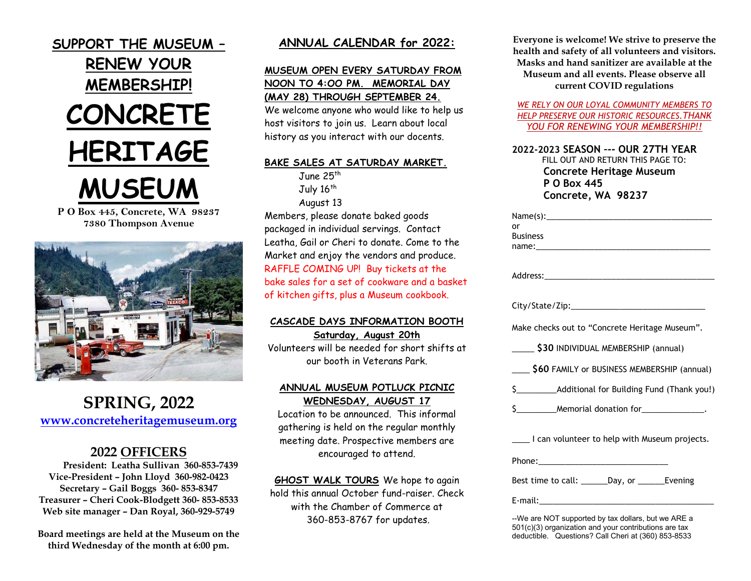

**7380 Thompson Avenue**



# **SPRING, 2022 [www.concreteheritagemuseum.org](http://www.concreteheritagemuseum.org/)**

# **2022 OFFICERS**

**President: Leatha Sullivan 360-853-7439 Vice-President – John Lloyd 360-982-0423 Secretary – Gail Boggs 360- 853-8347 Treasurer – Cheri Cook-Blodgett 360- 853-8533 Web site manager – Dan Royal, 360-929-5749**

**Board meetings are held at the Museum on the third Wednesday of the month at 6:00 pm.**

## **ANNUAL CALENDAR for 2022:**

# **MUSEUM OPEN EVERY SATURDAY FROM NOON TO 4:OO PM. MEMORIAL DAY (MAY 28) THROUGH SEPTEMBER 24.**

We welcome anyone who would like to help us host visitors to join us. Learn about local history as you interact with our docents.

#### **BAKE SALES AT SATURDAY MARKET.**

June 25th July 16<sup>th</sup> August 13

Members, please donate baked goods packaged in individual servings. Contact Leatha, Gail or Cheri to donate. Come to the Market and enjoy the vendors and produce. RAFFLE COMING UP! Buy tickets at the bake sales for a set of cookware and a basket of kitchen gifts, plus a Museum cookbook.

#### **CASCADE DAYS INFORMATION BOOTH Saturday, August 20th**

Volunteers will be needed for short shifts at our booth in Veterans Park.

#### **ANNUAL MUSEUM POTLUCK PICNIC WEDNESDAY, AUGUST 17**

Location to be announced. This informal gathering is held on the regular monthly meeting date. Prospective members are encouraged to attend.

#### **GHOST WALK TOURS** We hope to again hold this annual October fund-raiser. Check with the Chamber of Commerce at 360-853-8767 for updates.

**Everyone is welcome! We strive to preserve the health and safety of all volunteers and visitors. Masks and hand sanitizer are available at the Museum and all events. Please observe all current COVID regulations**

*WE RELY ON OUR LOYAL COMMUNITY MEMBERS TO HELP PRESERVE OUR HISTORIC RESOURCES.THANK YOU FOR RENEWING YOUR MEMBERSHIP!!*

**2022-2023 SEASON –-- OUR 27TH YEAR** FILL OUT AND RETURN THIS PAGE TO:  **Concrete Heritage Museum P O Box 445 Concrete, WA 98237**

--We are NOT supported by tax dollars, but we ARE a 501(c)(3) organization and your contributions are tax deductible. Questions? Call Cheri at (360) 853-8533